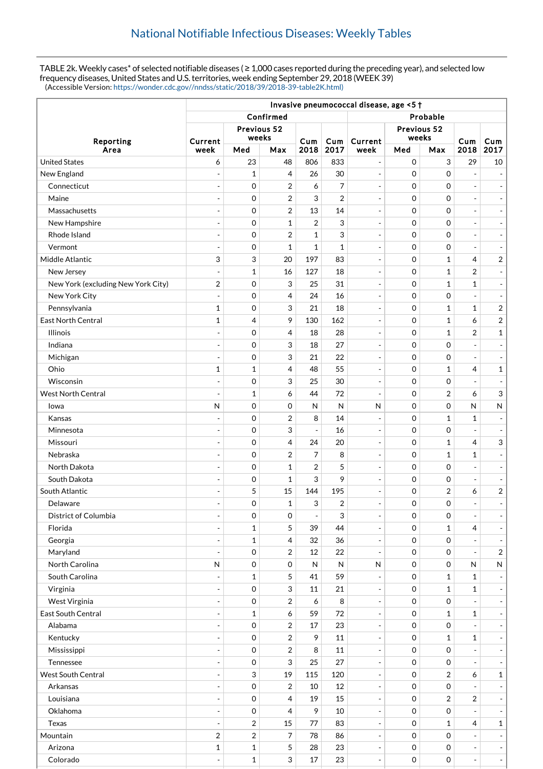TABLE 2k. Weekly cases\* of selected notifiable diseases ( $\geq 1,000$  cases reported during the preceding year), and selected low frequency diseases, United States and U.S. territories, week ending September 29, 2018 (WEEK 39) (Accessible Version: [https://wonder.cdc.gov//nndss/static/2018/39/2018-39-table2K.html\)](https://wonder.cdc.gov//nndss/static/2018/39/2018-39-table2K.html)

|                                    | Invasive pneumococcal disease, age <5 + |                  |                |                          |                |                          |                     |                           |                          |                              |  |
|------------------------------------|-----------------------------------------|------------------|----------------|--------------------------|----------------|--------------------------|---------------------|---------------------------|--------------------------|------------------------------|--|
|                                    | Confirmed                               |                  |                |                          |                | Probable                 |                     |                           |                          |                              |  |
|                                    | Previous 52                             |                  |                |                          | Previous 52    |                          |                     |                           |                          |                              |  |
| Reporting                          | Current                                 | weeks            |                | Cum                      | Cum            | Current                  | weeks               |                           | Cum                      | Cum                          |  |
| Area                               | week                                    | Med              | Max            | 2018                     | 2017           | week                     | Med                 | Max                       | 2018                     | 2017                         |  |
| <b>United States</b>               | 6                                       | 23               | 48             | 806                      | 833            | $\overline{\phantom{a}}$ | $\mathbf 0$         | $\ensuremath{\mathsf{3}}$ | 29                       | 10                           |  |
| New England                        | ÷                                       | $\mathbf{1}$     | 4              | 26                       | 30             | $\overline{\phantom{a}}$ | $\mathbf 0$         | $\mathbf 0$               | $\overline{a}$           | $\overline{\phantom{a}}$     |  |
| Connecticut                        | $\overline{a}$                          | $\mathbf 0$      | 2              | 6                        | 7              | $\overline{\phantom{a}}$ | $\mathbf 0$         | $\mathbf 0$               | $\overline{a}$           | $\sim$                       |  |
| Maine                              | $\overline{\phantom{a}}$                | 0                | 2              | 3                        | $\overline{2}$ | $\overline{\phantom{a}}$ | $\mathbf 0$         | $\mathbf 0$               | $\overline{a}$           | $\overline{\phantom{a}}$     |  |
| Massachusetts                      | $\overline{\phantom{a}}$                | $\mathbf 0$      | $\overline{2}$ | 13                       | 14             | $\blacksquare$           | $\mathbf 0$         | $\mathbf 0$               | $\overline{a}$           | $\blacksquare$               |  |
| New Hampshire                      | $\overline{a}$                          | $\mathbf 0$      | $\mathbf{1}$   | $\overline{2}$           | 3              | $\blacksquare$           | $\mathbf 0$         | $\mathbf 0$               | $\overline{a}$           | $\overline{\phantom{a}}$     |  |
| Rhode Island                       | ÷,                                      | 0                | 2              | $\mathbf{1}$             | 3              | $\overline{\phantom{a}}$ | $\mathbf 0$         | $\mathbf 0$               | $\overline{a}$           | $\overline{\phantom{a}}$     |  |
| Vermont                            | ÷,                                      | 0                | 1              | $\mathbf{1}$             | 1              | $\overline{\phantom{a}}$ | $\mathbf 0$         | $\mathbf 0$               | $\overline{a}$           |                              |  |
| Middle Atlantic                    | 3                                       | 3                | 20             | 197                      | 83             | $\blacksquare$           | $\mathbf 0$         | $\mathbf{1}$              | 4                        | $\sqrt{2}$                   |  |
| New Jersey                         | ÷,                                      | $\mathbf{1}$     | 16             | 127                      | 18             | $\overline{\phantom{a}}$ | $\mathbf 0$         | $\mathbf{1}$              | 2                        |                              |  |
| New York (excluding New York City) | $\overline{\mathbf{c}}$                 | 0                | 3              | 25                       | 31             | $\overline{\phantom{a}}$ | $\mathbf 0$         | $\mathbf{1}$              | $\mathbf{1}$             | $\overline{\phantom{a}}$     |  |
| New York City                      | $\overline{a}$                          | 0                | 4              | 24                       | 16             | $\overline{\phantom{a}}$ | $\mathbf 0$         | $\mathbf 0$               | $\overline{a}$           | $\overline{\phantom{a}}$     |  |
| Pennsylvania                       | $\mathbf{1}$                            | 0                | 3              | 21                       | 18             | $\overline{\phantom{a}}$ | $\mathbf 0$         | $\mathbf{1}$              | $\mathbf{1}$             | $\sqrt{2}$                   |  |
| <b>East North Central</b>          | 1                                       | 4                | 9              | 130                      | 162            | $\blacksquare$           | $\mathbf 0$         | $\mathbf{1}$              | 6                        | $\overline{c}$               |  |
| <b>Illinois</b>                    | ÷                                       | 0                | 4              | 18                       | 28             | $\overline{\phantom{a}}$ | $\mathbf 0$         | $\mathbf{1}$              | $\overline{2}$           | $\mathbf{1}$                 |  |
| Indiana                            | ٠                                       | 0                | 3              | 18                       | 27             | $\overline{\phantom{a}}$ | $\mathbf 0$         | $\mathbf 0$               | $\overline{a}$           | $\sim$                       |  |
| Michigan                           | $\overline{a}$                          | 0                | 3              | 21                       | 22             | $\blacksquare$           | $\mathbf 0$         | $\mathbf 0$               | $\overline{a}$           |                              |  |
| Ohio                               | $\mathbf{1}$                            | $\mathbf{1}$     | 4              | 48                       | 55             | $\overline{\phantom{a}}$ | $\mathbf 0$         | $\mathbf{1}$              | 4                        | $\mathbf 1$                  |  |
| Wisconsin                          | $\overline{a}$                          | 0                | 3              | 25                       | 30             | $\blacksquare$           | $\mathbf 0$         | $\boldsymbol{0}$          | $\overline{a}$           |                              |  |
| West North Central                 | ÷                                       | 1                | 6              | 44                       | 72             | $\overline{\phantom{a}}$ | $\mathbf 0$         | $\overline{2}$            | 6                        | $\ensuremath{\mathsf{3}}$    |  |
| lowa                               | $\mathsf{N}$                            | 0                | 0              | N                        | $\mathsf{N}$   | $\mathsf{N}$             | $\mathbf 0$         | $\mathbf 0$               | N                        | ${\sf N}$                    |  |
| Kansas                             | ÷,                                      | 0                | 2              | 8                        | 14             | $\overline{\phantom{a}}$ | $\mathbf 0$         | $\mathbf{1}$              | 1                        | $\overline{a}$               |  |
| Minnesota                          | ÷,                                      | 0                | 3              | $\overline{\phantom{a}}$ | 16             | $\overline{\phantom{a}}$ | $\mathbf 0$         | $\mathbf 0$               | $\overline{a}$           |                              |  |
| Missouri                           | ÷                                       | 0                | 4              | 24                       | 20             | $\overline{\phantom{a}}$ | $\Omega$            | $\mathbf{1}$              | $\overline{4}$           | 3                            |  |
| Nebraska                           | $\overline{a}$                          | 0                | $\overline{2}$ | 7                        | 8              | $\blacksquare$           | $\mathbf 0$         | $\mathbf{1}$              | 1                        | $\overline{a}$               |  |
| North Dakota                       | $\overline{\phantom{a}}$                | 0                | 1              | $\overline{2}$           | 5              | $\overline{\phantom{a}}$ | $\mathbf 0$         | $\mathbf 0$               | $\overline{a}$           | $\overline{\phantom{m}}$     |  |
| South Dakota                       | ٠                                       | $\boldsymbol{0}$ | 1              | 3                        | 9              | $\overline{\phantom{a}}$ | $\mathbf 0$         | $\mathbf 0$               | ÷,                       | $\overline{\phantom{a}}$     |  |
| South Atlantic                     |                                         | 5                | 15             | 144                      | 195            | $\blacksquare$           | $\mathbf 0$         | $\boldsymbol{2}$          | 6                        | $\sqrt{2}$                   |  |
| Delaware                           |                                         | 0                | $\mathbf{1}$   | 3                        | $\overline{2}$ | $\overline{\phantom{a}}$ | $\Omega$            | $\mathbf 0$               | $\overline{\phantom{a}}$ |                              |  |
| District of Columbia               | ÷,                                      | 0                | 0              | $\blacksquare$           | 3              | $\overline{\phantom{a}}$ | $\mathbf 0$         | 0                         |                          |                              |  |
| Florida                            | $\overline{\phantom{a}}$                | $\mathbf 1$      | 5              | 39                       | 44             | $\Box$                   | $\mathsf{O}\xspace$ | $\mathbf{1}$              | 4                        |                              |  |
| Georgia                            |                                         | $\mathbf{1}$     | 4              | 32                       | 36             | $\overline{\phantom{a}}$ | $\mathsf{O}\xspace$ | $\mathsf{O}\xspace$       |                          |                              |  |
| Maryland                           | $\overline{\phantom{a}}$                | $\mathbf 0$      | 2              | $12\,$                   | 22             | $\overline{\phantom{a}}$ | $\mathbf 0$         | 0                         | $\overline{a}$           | $\sqrt{2}$                   |  |
| North Carolina                     | N                                       | $\mathbf 0$      | 0              | N                        | $\mathsf{N}$   | N                        | $\mathbf 0$         | 0                         | N                        | ${\sf N}$                    |  |
| South Carolina                     |                                         | $\mathbf{1}$     | 5              | 41                       | 59             | $\overline{\phantom{a}}$ | $\mathbf 0$         | $\mathbf{1}$              | 1                        |                              |  |
| Virginia                           |                                         | $\mathbf 0$      | 3              | 11                       | 21             | $\blacksquare$           | $\mathbf 0$         | $\mathbf 1$               | $\mathbf{1}$             |                              |  |
| West Virginia                      | $\overline{\phantom{a}}$                | $\boldsymbol{0}$ | 2              | 6                        | 8              | $\qquad \qquad -$        | $\mathbf 0$         | $\boldsymbol{0}$          | $\overline{a}$           | $\qquad \qquad \blacksquare$ |  |
| East South Central                 | ٠                                       | 1                | 6              | 59                       | 72             | $\overline{\phantom{a}}$ | $\mathbf 0$         | $\mathbf{1}$              | 1                        | $\overline{\phantom{a}}$     |  |
| Alabama                            | $\overline{\phantom{a}}$                | $\mathbf 0$      | 2              | 17                       | 23             | $\overline{\phantom{a}}$ | $\mathbf 0$         | $\boldsymbol{0}$          |                          |                              |  |
| Kentucky                           |                                         | $\,0\,$          | 2              | 9                        | 11             | $\blacksquare$           | $\mathbf 0$         | $\mathbf{1}$              | $\mathbf 1$              | $\overline{\phantom{a}}$     |  |
| Mississippi                        | ÷,                                      | $\boldsymbol{0}$ | 2              | 8                        | 11             | $\qquad \qquad -$        | 0                   | $\boldsymbol{0}$          |                          |                              |  |
| Tennessee                          | ÷,                                      | $\boldsymbol{0}$ | 3              | 25                       | 27             | $\overline{\phantom{a}}$ | $\mathbf 0$         | 0                         | $\overline{a}$           |                              |  |
| West South Central                 |                                         | 3                | 19             | 115                      | 120            | $\blacksquare$           | $\mathsf{O}\xspace$ | $\overline{2}$            | 6                        | $\mathbf 1$                  |  |
| Arkansas                           | ÷,                                      | $\mathbf 0$      | 2              | $10\,$                   | $12\,$         | $\overline{\phantom{a}}$ | $\mathsf{O}\xspace$ | $\mathsf{O}\xspace$       |                          |                              |  |
| Louisiana                          | ÷,                                      | $\mathbf 0$      | 4              | 19                       | 15             | $\Box$                   | $\mathbf 0$         | $\overline{2}$            | $\overline{2}$           |                              |  |
| Oklahoma                           | ÷,                                      | $\boldsymbol{0}$ | 4              | 9                        | 10             | $\blacksquare$           | $\mathbf 0$         | $\boldsymbol{0}$          | $\overline{a}$           |                              |  |
| Texas                              |                                         | 2                | 15             | 77                       | 83             | $\blacksquare$           | $\mathbf 0$         | $\mathbf{1}$              | 4                        | $\mathbf{1}$                 |  |
| Mountain                           | $\boldsymbol{2}$                        | 2                | 7              | 78                       | 86             | $\blacksquare$           | $\mathbf 0$         | $\mathbf 0$               |                          |                              |  |
| Arizona                            | 1                                       | $\mathbf 1$      | 5              | 28                       | 23             | $\overline{\phantom{a}}$ | $\mathsf{O}\xspace$ | 0                         | $\overline{a}$           |                              |  |
| Colorado                           | ÷,                                      | $\mathbf{1}$     | 3              | $17\,$                   | 23             | $\overline{\phantom{a}}$ | $\mathsf{O}\xspace$ | 0                         | $\blacksquare$           | $\Box$                       |  |
|                                    |                                         |                  |                |                          |                |                          |                     |                           |                          |                              |  |